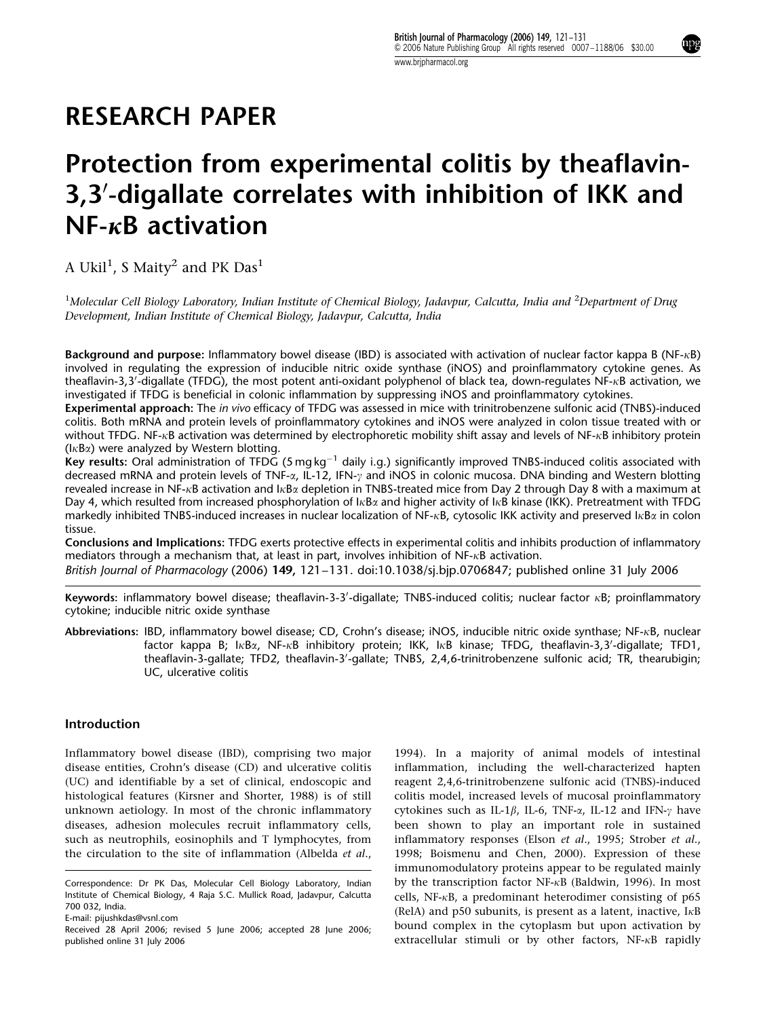# RESEARCH PAPER

# Protection from experimental colitis by theaflavin-3,3'-digallate correlates with inhibition of IKK and  $NF-\kappa B$  activation

A Ukil $^1$ , S Maity $^2$  and PK Das $^1$ 

<sup>1</sup>Molecular Cell Biology Laboratory, Indian Institute of Chemical Biology, Jadavpur, Calcutta, India and <sup>2</sup>Department of Drug Development, Indian Institute of Chemical Biology, Jadavpur, Calcutta, India

Background and purpose: Inflammatory bowel disease (IBD) is associated with activation of nuclear factor kappa B (NF- $\kappa$ B) involved in regulating the expression of inducible nitric oxide synthase (iNOS) and proinflammatory cytokine genes. As theaflavin-3,3'-digallate (TFDG), the most potent anti-oxidant polyphenol of black tea, down-regulates NF-kB activation, we investigated if TFDG is beneficial in colonic inflammation by suppressing iNOS and proinflammatory cytokines.

Experimental approach: The in vivo efficacy of TFDG was assessed in mice with trinitrobenzene sulfonic acid (TNBS)-induced colitis. Both mRNA and protein levels of proinflammatory cytokines and iNOS were analyzed in colon tissue treated with or without TFDG. NF- $\kappa$ B activation was determined by electrophoretic mobility shift assay and levels of NF- $\kappa$ B inhibitory protein  $(l \kappa B \alpha)$  were analyzed by Western blotting.

(indig to a linaged by the cent because.)<br>Key results: Oral administration of TFDG (5 mg kg<sup>-1</sup> daily i.g.) significantly improved TNBS-induced colitis associated with decreased mRNA and protein levels of TNF-x, IL-12, IFN-y and INOS in colonic mucosa. DNA binding and Western blotting revealed increase in NF-kB activation and IkBa depletion in TNBS-treated mice from Day 2 through Day 8 with a maximum at Day 4, which resulted from increased phosphorylation of  $I \kappa B \alpha$  and higher activity of I $\kappa B$  kinase (IKK). Pretreatment with TFDG markedly inhibited TNBS-induced increases in nuclear localization of NF- $\kappa$ B, cytosolic IKK activity and preserved I $\kappa$ B $\alpha$  in colon tissue.

Conclusions and Implications: TFDG exerts protective effects in experimental colitis and inhibits production of inflammatory mediators through a mechanism that, at least in part, involves inhibition of NF- $\kappa$ B activation. British Journal of Pharmacology (2006) 149, 121–131. doi:10.1038/sj.bjp.0706847; published online 31 July 2006

Keywords: inflammatory bowel disease; theaflavin-3-3'-digallate; TNBS-induced colitis; nuclear factor  $\kappa$ B; proinflammatory cytokine; inducible nitric oxide synthase

Abbreviations: IBD, inflammatory bowel disease; CD, Crohn's disease; iNOS, inducible nitric oxide synthase; NF-kB, nuclear factor kappa B; IkBa, NF-kB inhibitory protein; IKK, IkB kinase; TFDG, theaflavin-3,3'-digallate; TFD1, theaflavin-3-gallate; TFD2, theaflavin-3'-gallate; TNBS, 2,4,6-trinitrobenzene sulfonic acid; TR, thearubigin; UC, ulcerative colitis

# Introduction

Inflammatory bowel disease (IBD), comprising two major disease entities, Crohn's disease (CD) and ulcerative colitis (UC) and identifiable by a set of clinical, endoscopic and histological features (Kirsner and Shorter, 1988) is of still unknown aetiology. In most of the chronic inflammatory diseases, adhesion molecules recruit inflammatory cells, such as neutrophils, eosinophils and T lymphocytes, from the circulation to the site of inflammation (Albelda et al.,

1994). In a majority of animal models of intestinal inflammation, including the well-characterized hapten reagent 2,4,6-trinitrobenzene sulfonic acid (TNBS)-induced colitis model, increased levels of mucosal proinflammatory cytokines such as IL-1 $\beta$ , IL-6, TNF- $\alpha$ , IL-12 and IFN- $\gamma$  have been shown to play an important role in sustained inflammatory responses (Elson et al., 1995; Strober et al., 1998; Boismenu and Chen, 2000). Expression of these immunomodulatory proteins appear to be regulated mainly by the transcription factor NF- $\kappa$ B (Baldwin, 1996). In most cells, NF- $\kappa$ B, a predominant heterodimer consisting of p65 (RelA) and p50 subunits, is present as a latent, inactive,  $I \kappa B$ bound complex in the cytoplasm but upon activation by extracellular stimuli or by other factors,  $NF-\kappa B$  rapidly

Correspondence: Dr PK Das, Molecular Cell Biology Laboratory, Indian Institute of Chemical Biology, 4 Raja S.C. Mullick Road, Jadavpur, Calcutta 700 032, India.

E-mail: pijushkdas@vsnl.com

Received 28 April 2006; revised 5 June 2006; accepted 28 June 2006; published online 31 July 2006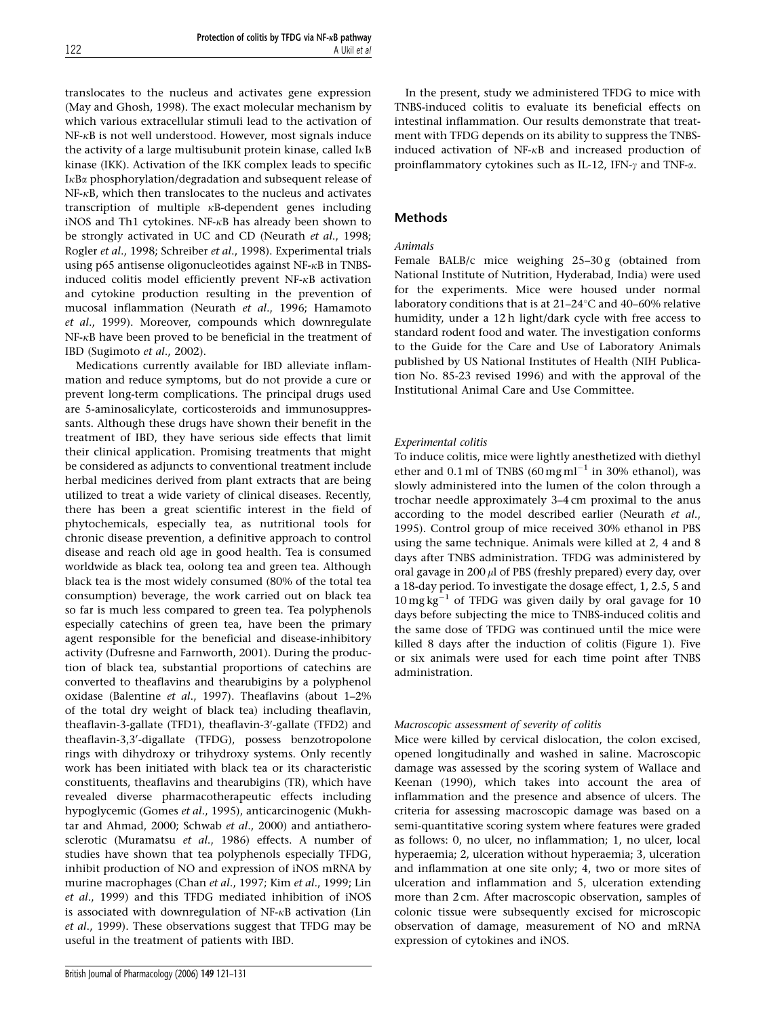translocates to the nucleus and activates gene expression (May and Ghosh, 1998). The exact molecular mechanism by which various extracellular stimuli lead to the activation of  $NF-\kappa B$  is not well understood. However, most signals induce the activity of a large multisubunit protein kinase, called  $I<sub>K</sub>B$ kinase (IKK). Activation of the IKK complex leads to specific IkBa phosphorylation/degradation and subsequent release of  $NF-xB$ , which then translocates to the nucleus and activates transcription of multiple kB-dependent genes including iNOS and Th1 cytokines. NF-kB has already been shown to be strongly activated in UC and CD (Neurath et al., 1998; Rogler et al., 1998; Schreiber et al., 1998). Experimental trials using p65 antisense oligonucleotides against NF-kB in TNBSinduced colitis model efficiently prevent NF-kB activation and cytokine production resulting in the prevention of mucosal inflammation (Neurath et al., 1996; Hamamoto et al., 1999). Moreover, compounds which downregulate NF-kB have been proved to be beneficial in the treatment of IBD (Sugimoto et al., 2002).

Medications currently available for IBD alleviate inflammation and reduce symptoms, but do not provide a cure or prevent long-term complications. The principal drugs used are 5-aminosalicylate, corticosteroids and immunosuppressants. Although these drugs have shown their benefit in the treatment of IBD, they have serious side effects that limit their clinical application. Promising treatments that might be considered as adjuncts to conventional treatment include herbal medicines derived from plant extracts that are being utilized to treat a wide variety of clinical diseases. Recently, there has been a great scientific interest in the field of phytochemicals, especially tea, as nutritional tools for chronic disease prevention, a definitive approach to control disease and reach old age in good health. Tea is consumed worldwide as black tea, oolong tea and green tea. Although black tea is the most widely consumed (80% of the total tea consumption) beverage, the work carried out on black tea so far is much less compared to green tea. Tea polyphenols especially catechins of green tea, have been the primary agent responsible for the beneficial and disease-inhibitory activity (Dufresne and Farnworth, 2001). During the production of black tea, substantial proportions of catechins are converted to theaflavins and thearubigins by a polyphenol oxidase (Balentine et al., 1997). Theaflavins (about 1–2% of the total dry weight of black tea) including theaflavin, theaflavin-3-gallate (TFD1), theaflavin-3'-gallate (TFD2) and theaflavin-3,3'-digallate (TFDG), possess benzotropolone rings with dihydroxy or trihydroxy systems. Only recently work has been initiated with black tea or its characteristic constituents, theaflavins and thearubigins (TR), which have revealed diverse pharmacotherapeutic effects including hypoglycemic (Gomes et al., 1995), anticarcinogenic (Mukhtar and Ahmad, 2000; Schwab et al., 2000) and antiatherosclerotic (Muramatsu et al., 1986) effects. A number of studies have shown that tea polyphenols especially TFDG, inhibit production of NO and expression of iNOS mRNA by murine macrophages (Chan et al., 1997; Kim et al., 1999; Lin et al., 1999) and this TFDG mediated inhibition of iNOS is associated with downregulation of NF-kB activation (Lin et al., 1999). These observations suggest that TFDG may be useful in the treatment of patients with IBD.

In the present, study we administered TFDG to mice with TNBS-induced colitis to evaluate its beneficial effects on intestinal inflammation. Our results demonstrate that treatment with TFDG depends on its ability to suppress the TNBSinduced activation of NF-kB and increased production of proinflammatory cytokines such as IL-12, IFN- $\gamma$  and TNF- $\alpha$ .

# Methods

# Animals

Female BALB/c mice weighing 25-30 g (obtained from National Institute of Nutrition, Hyderabad, India) were used for the experiments. Mice were housed under normal laboratory conditions that is at  $21-24$ °C and  $40-60$ % relative humidity, under a 12 h light/dark cycle with free access to standard rodent food and water. The investigation conforms to the Guide for the Care and Use of Laboratory Animals published by US National Institutes of Health (NIH Publication No. 85-23 revised 1996) and with the approval of the Institutional Animal Care and Use Committee.

## Experimental colitis

To induce colitis, mice were lightly anesthetized with diethyl ether and 0.1 ml of TNBS  $(60 \,\text{mg} \,\text{m} \text{l}^{-1}$  in 30% ethanol), was slowly administered into the lumen of the colon through a trochar needle approximately 3–4 cm proximal to the anus according to the model described earlier (Neurath et al., 1995). Control group of mice received 30% ethanol in PBS using the same technique. Animals were killed at 2, 4 and 8 days after TNBS administration. TFDG was administered by oral gavage in  $200 \mu l$  of PBS (freshly prepared) every day, over a 18-day period. To investigate the dosage effect, 1, 2.5, 5 and  $10 \text{ mg kg}^{-1}$  of TFDG was given daily by oral gavage for 10 days before subjecting the mice to TNBS-induced colitis and the same dose of TFDG was continued until the mice were killed 8 days after the induction of colitis (Figure 1). Five or six animals were used for each time point after TNBS administration.

## Macroscopic assessment of severity of colitis

Mice were killed by cervical dislocation, the colon excised, opened longitudinally and washed in saline. Macroscopic damage was assessed by the scoring system of Wallace and Keenan (1990), which takes into account the area of inflammation and the presence and absence of ulcers. The criteria for assessing macroscopic damage was based on a semi-quantitative scoring system where features were graded as follows: 0, no ulcer, no inflammation; 1, no ulcer, local hyperaemia; 2, ulceration without hyperaemia; 3, ulceration and inflammation at one site only; 4, two or more sites of ulceration and inflammation and 5, ulceration extending more than 2 cm. After macroscopic observation, samples of colonic tissue were subsequently excised for microscopic observation of damage, measurement of NO and mRNA expression of cytokines and iNOS.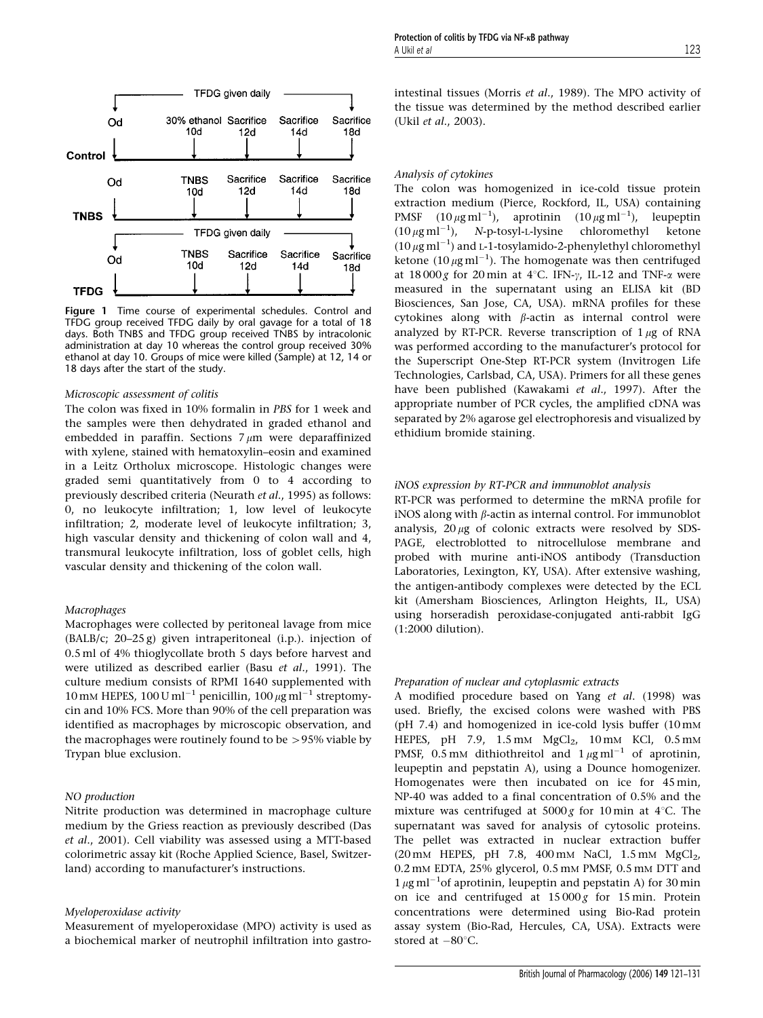

Figure 1 Time course of experimental schedules. Control and TFDG group received TFDG daily by oral gavage for a total of 18 days. Both TNBS and TFDG group received TNBS by intracolonic administration at day 10 whereas the control group received 30% ethanol at day 10. Groups of mice were killed (Sample) at 12, 14 or 18 days after the start of the study.

#### Microscopic assessment of colitis

The colon was fixed in 10% formalin in PBS for 1 week and the samples were then dehydrated in graded ethanol and embedded in paraffin. Sections  $7 \mu m$  were deparaffinized with xylene, stained with hematoxylin–eosin and examined in a Leitz Ortholux microscope. Histologic changes were graded semi quantitatively from 0 to 4 according to previously described criteria (Neurath et al., 1995) as follows: 0, no leukocyte infiltration; 1, low level of leukocyte infiltration; 2, moderate level of leukocyte infiltration; 3, high vascular density and thickening of colon wall and 4, transmural leukocyte infiltration, loss of goblet cells, high vascular density and thickening of the colon wall.

## Macrophages

Macrophages were collected by peritoneal lavage from mice (BALB/c; 20–25 g) given intraperitoneal (i.p.). injection of 0.5 ml of 4% thioglycollate broth 5 days before harvest and were utilized as described earlier (Basu et al., 1991). The culture medium consists of RPMI 1640 supplemented with 10 mm HEPES, 100 U ml<sup>-1</sup> penicillin, 100  $\mu$ g ml<sup>-1</sup> streptomycin and 10% FCS. More than 90% of the cell preparation was identified as macrophages by microscopic observation, and the macrophages were routinely found to be  $>95\%$  viable by Trypan blue exclusion.

#### NO production

Nitrite production was determined in macrophage culture medium by the Griess reaction as previously described (Das et al., 2001). Cell viability was assessed using a MTT-based colorimetric assay kit (Roche Applied Science, Basel, Switzerland) according to manufacturer's instructions.

#### Myeloperoxidase activity

Measurement of myeloperoxidase (MPO) activity is used as a biochemical marker of neutrophil infiltration into gastrointestinal tissues (Morris et al., 1989). The MPO activity of the tissue was determined by the method described earlier (Ukil et al., 2003).

#### Analysis of cytokines

The colon was homogenized in ice-cold tissue protein extraction medium (Pierce, Rockford, IL, USA) containing PMSF  $(10 \,\mu\text{g m} \text{m}^{-1})$ , aprotinin  $(10 \,\mu\text{g m} \text{m}^{-1})$ , leupeptin  $(10 \,\mu\text{g m})^{-1}$ ), N-p-tosyl-L-lysine chloromethyl ketone  $(10 \mu g \text{ ml}^{-1})$  and L-1-tosylamido-2-phenylethyl chloromethyl ketone  $(10 \mu g \text{ ml}^{-1})$ . The homogenate was then centrifuged at  $18000g$  for 20 min at 4°C. IFN- $\gamma$ , IL-12 and TNF- $\alpha$  were measured in the supernatant using an ELISA kit (BD Biosciences, San Jose, CA, USA). mRNA profiles for these cytokines along with  $\beta$ -actin as internal control were analyzed by RT-PCR. Reverse transcription of  $1 \mu$ g of RNA was performed according to the manufacturer's protocol for the Superscript One-Step RT-PCR system (Invitrogen Life Technologies, Carlsbad, CA, USA). Primers for all these genes have been published (Kawakami et al., 1997). After the appropriate number of PCR cycles, the amplified cDNA was separated by 2% agarose gel electrophoresis and visualized by ethidium bromide staining.

#### iNOS expression by RT-PCR and immunoblot analysis

RT-PCR was performed to determine the mRNA profile for iNOS along with  $\beta$ -actin as internal control. For immunoblot analysis,  $20 \mu$ g of colonic extracts were resolved by SDS-PAGE, electroblotted to nitrocellulose membrane and probed with murine anti-iNOS antibody (Transduction Laboratories, Lexington, KY, USA). After extensive washing, the antigen-antibody complexes were detected by the ECL kit (Amersham Biosciences, Arlington Heights, IL, USA) using horseradish peroxidase-conjugated anti-rabbit IgG (1:2000 dilution).

#### Preparation of nuclear and cytoplasmic extracts

A modified procedure based on Yang et al. (1998) was used. Briefly, the excised colons were washed with PBS (pH 7.4) and homogenized in ice-cold lysis buffer (10 mM HEPES, pH 7.9,  $1.5 \text{ mM}$  MgCl<sub>2</sub>,  $10 \text{ mM}$  KCl,  $0.5 \text{ mM}$ PMSF, 0.5 mM dithiothreitol and  $1 \mu$ g ml<sup>-1</sup> of aprotinin, leupeptin and pepstatin A), using a Dounce homogenizer. Homogenates were then incubated on ice for 45 min, NP-40 was added to a final concentration of 0.5% and the mixture was centrifuged at  $5000 g$  for 10 min at 4°C. The supernatant was saved for analysis of cytosolic proteins. The pellet was extracted in nuclear extraction buffer  $(20 \text{ mM}$  HEPES, pH 7.8, 400 mM NaCl, 1.5 mM MgCl<sub>2</sub>, 0.2 mM EDTA, 25% glycerol, 0.5 mM PMSF, 0.5 mM DTT and  $1 \mu$ g ml<sup>-1</sup>of aprotinin, leupeptin and pepstatin A) for 30 min on ice and centrifuged at  $15000g$  for  $15$  min. Protein concentrations were determined using Bio-Rad protein assay system (Bio-Rad, Hercules, CA, USA). Extracts were stored at  $-80^{\circ}$ C.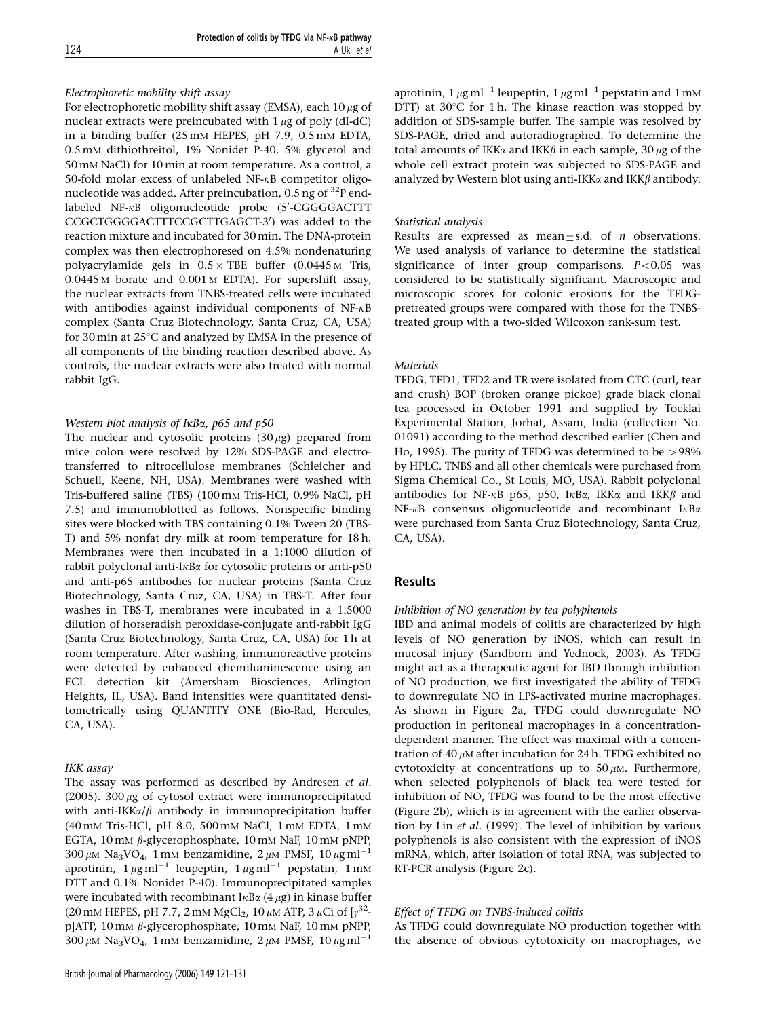## Electrophoretic mobility shift assay

For electrophoretic mobility shift assay (EMSA), each 10  $\mu$ g of nuclear extracts were preincubated with  $1 \mu$ g of poly (dI-dC) in a binding buffer (25 mM HEPES, pH 7.9, 0.5 mM EDTA, 0.5 mM dithiothreitol, 1% Nonidet P-40, 5% glycerol and 50 mM NaCl) for 10 min at room temperature. As a control, a 50-fold molar excess of unlabeled NF-kB competitor oligonucleotide was added. After preincubation,  $0.5$  ng of  $^{32}P$  endlabeled NF-KB oligonucleotide probe (5'-CGGGGACTTT CCGCTGGGGACTTTCCGCTTGAGCT-3') was added to the reaction mixture and incubated for 30 min. The DNA-protein complex was then electrophoresed on 4.5% nondenaturing polyacrylamide gels in  $0.5 \times$  TBE buffer (0.0445 M Tris, 0.0445 M borate and 0.001 M EDTA). For supershift assay, the nuclear extracts from TNBS-treated cells were incubated with antibodies against individual components of NF- $\kappa$ B complex (Santa Cruz Biotechnology, Santa Cruz, CA, USA) for 30 min at  $25^{\circ}$ C and analyzed by EMSA in the presence of all components of the binding reaction described above. As controls, the nuclear extracts were also treated with normal rabbit IgG.

# Western blot analysis of I<sub>KBa</sub>, p65 and p50

The nuclear and cytosolic proteins  $(30 \mu g)$  prepared from mice colon were resolved by 12% SDS-PAGE and electrotransferred to nitrocellulose membranes (Schleicher and Schuell, Keene, NH, USA). Membranes were washed with Tris-buffered saline (TBS) (100 mM Tris-HCl, 0.9% NaCl, pH 7.5) and immunoblotted as follows. Nonspecific binding sites were blocked with TBS containing 0.1% Tween 20 (TBS-T) and 5% nonfat dry milk at room temperature for 18 h. Membranes were then incubated in a 1:1000 dilution of rabbit polyclonal anti- $I_{\kappa}B_{\alpha}$  for cytosolic proteins or anti-p50 and anti-p65 antibodies for nuclear proteins (Santa Cruz Biotechnology, Santa Cruz, CA, USA) in TBS-T. After four washes in TBS-T, membranes were incubated in a 1:5000 dilution of horseradish peroxidase-conjugate anti-rabbit IgG (Santa Cruz Biotechnology, Santa Cruz, CA, USA) for 1 h at room temperature. After washing, immunoreactive proteins were detected by enhanced chemiluminescence using an ECL detection kit (Amersham Biosciences, Arlington Heights, IL, USA). Band intensities were quantitated densitometrically using QUANTITY ONE (Bio-Rad, Hercules, CA, USA).

# IKK assay

The assay was performed as described by Andresen et al. (2005). 300  $\mu$ g of cytosol extract were immunoprecipitated with anti-IKK $\alpha/\beta$  antibody in immunoprecipitation buffer (40 mM Tris-HCl, pH 8.0, 500 mM NaCl, 1 mM EDTA, 1 mM EGTA,  $10 \text{ mM } \beta$ -glycerophosphate,  $10 \text{ mM }$  NaF,  $10 \text{ mM }$  pNPP,  $300 \mu M$  Na<sub>3</sub>VO<sub>4</sub>, 1 mM benzamidine, 2  $\mu$ M PMSF, 10  $\mu$ g ml<sup>-1</sup> aprotinin,  $1 \mu g$  ml<sup>-1</sup> leupeptin,  $1 \mu g$  ml<sup>-1</sup> pepstatin,  $1 \text{ mM}$ DTT and 0.1% Nonidet P-40). Immunoprecipitated samples were incubated with recombinant  $I \kappa B \alpha$  (4  $\mu$ g) in kinase buffer (20 mm HEPES, pH 7.7, 2 mm MgCl<sub>2</sub>, 10  $\mu$ m ATP, 3  $\mu$ Ci of [ $\gamma^{32}$ p]ATP, 10 mM b-glycerophosphate, 10 mM NaF, 10 mM pNPP,  $300 \mu M$  Na<sub>3</sub>VO<sub>4</sub>, 1 mM benzamidine, 2  $\mu$ M PMSF, 10  $\mu$ g ml<sup>-1</sup>

aprotinin, 1  $\mu$ g ml $^{-1}$  leupeptin, 1  $\mu$ g ml $^{-1}$  pepstatin and 1 mm DTT) at  $30^{\circ}$ C for 1 h. The kinase reaction was stopped by addition of SDS-sample buffer. The sample was resolved by SDS-PAGE, dried and autoradiographed. To determine the total amounts of IKK $\alpha$  and IKK $\beta$  in each sample, 30  $\mu$ g of the whole cell extract protein was subjected to SDS-PAGE and analyzed by Western blot using anti-IKK $\alpha$  and IKK $\beta$  antibody.

## Statistical analysis

Results are expressed as mean $\pm$ s.d. of *n* observations. We used analysis of variance to determine the statistical significance of inter group comparisons.  $P < 0.05$  was considered to be statistically significant. Macroscopic and microscopic scores for colonic erosions for the TFDGpretreated groups were compared with those for the TNBStreated group with a two-sided Wilcoxon rank-sum test.

## Materials

TFDG, TFD1, TFD2 and TR were isolated from CTC (curl, tear and crush) BOP (broken orange pickoe) grade black clonal tea processed in October 1991 and supplied by Tocklai Experimental Station, Jorhat, Assam, India (collection No. 01091) according to the method described earlier (Chen and Ho, 1995). The purity of TFDG was determined to be  $>98\%$ by HPLC. TNBS and all other chemicals were purchased from Sigma Chemical Co., St Louis, MO, USA). Rabbit polyclonal antibodies for NF- $\kappa$ B p65, p50, I $\kappa$ B $\alpha$ , IKK $\alpha$  and IKK $\beta$  and NF-KB consensus oligonucleotide and recombinant IKBa were purchased from Santa Cruz Biotechnology, Santa Cruz, CA, USA).

# Results

## Inhibition of NO generation by tea polyphenols

IBD and animal models of colitis are characterized by high levels of NO generation by iNOS, which can result in mucosal injury (Sandborn and Yednock, 2003). As TFDG might act as a therapeutic agent for IBD through inhibition of NO production, we first investigated the ability of TFDG to downregulate NO in LPS-activated murine macrophages. As shown in Figure 2a, TFDG could downregulate NO production in peritoneal macrophages in a concentrationdependent manner. The effect was maximal with a concentration of 40  $\mu$ M after incubation for 24 h. TFDG exhibited no cytotoxicity at concentrations up to  $50 \mu$ M. Furthermore, when selected polyphenols of black tea were tested for inhibition of NO, TFDG was found to be the most effective (Figure 2b), which is in agreement with the earlier observation by Lin et al. (1999). The level of inhibition by various polyphenols is also consistent with the expression of iNOS mRNA, which, after isolation of total RNA, was subjected to RT-PCR analysis (Figure 2c).

# Effect of TFDG on TNBS-induced colitis

As TFDG could downregulate NO production together with the absence of obvious cytotoxicity on macrophages, we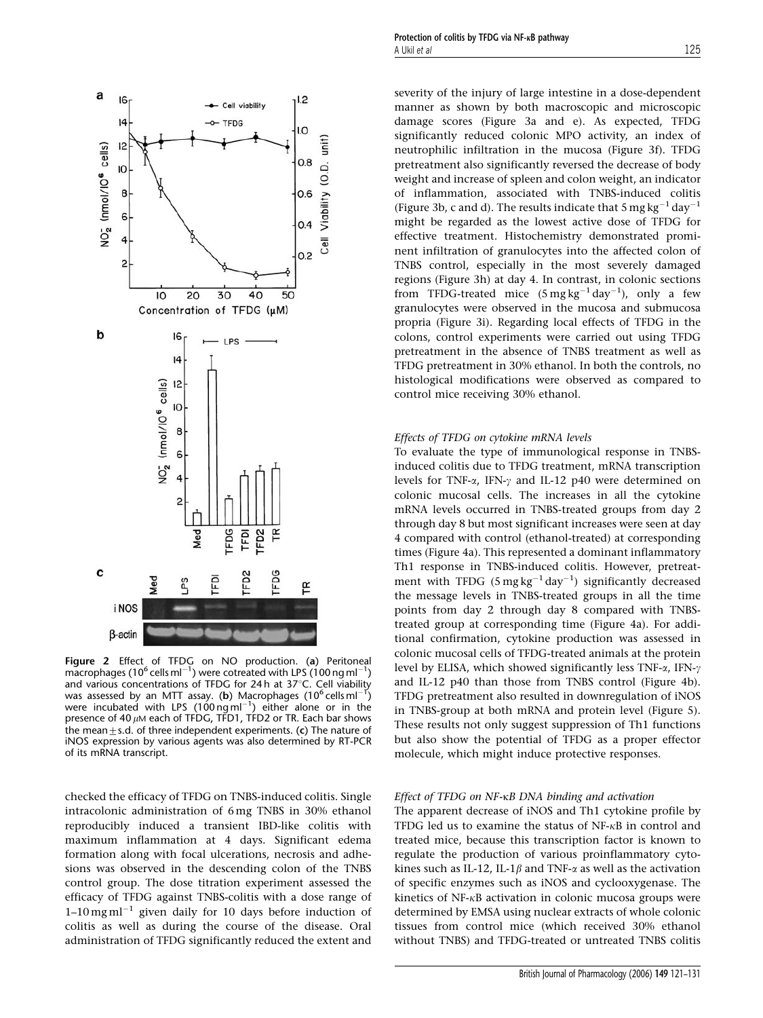

Figure 2 Effect of TFDG on NO production. (a) Peritoneal  $\frac{1}{2}$  macrophages (10<sup>6</sup> cells ml<sup>-1</sup>) were cotreated with LPS (100 ng ml<sup>-1</sup>) and various concentrations of TFDG for 24 h at 37 $^{\circ}$ C. Cell viability was assessed by an MTT assay. (b) Macrophages  $(10^6 \text{ cells ml}^{-1})$ were incubated with LPS  $(100 \text{ ng m}^{-1})$  either alone or in the presence of 40  $\mu$ M each of TFDG, TFD1, TFD2 or TR. Each bar shows the mean $\pm$ s.d. of three independent experiments. (c) The nature of iNOS expression by various agents was also determined by RT-PCR of its mRNA transcript.

checked the efficacy of TFDG on TNBS-induced colitis. Single intracolonic administration of 6 mg TNBS in 30% ethanol reproducibly induced a transient IBD-like colitis with maximum inflammation at 4 days. Significant edema formation along with focal ulcerations, necrosis and adhesions was observed in the descending colon of the TNBS control group. The dose titration experiment assessed the efficacy of TFDG against TNBS-colitis with a dose range of  $1-10$  mg ml<sup>-1</sup> given daily for 10 days before induction of colitis as well as during the course of the disease. Oral administration of TFDG significantly reduced the extent and severity of the injury of large intestine in a dose-dependent manner as shown by both macroscopic and microscopic damage scores (Figure 3a and e). As expected, TFDG significantly reduced colonic MPO activity, an index of neutrophilic infiltration in the mucosa (Figure 3f). TFDG pretreatment also significantly reversed the decrease of body weight and increase of spleen and colon weight, an indicator of inflammation, associated with TNBS-induced colitis (Figure 3b, c and d). The results indicate that  $5 \text{ mg kg}^{-1} \text{ day}^{-1}$ might be regarded as the lowest active dose of TFDG for effective treatment. Histochemistry demonstrated prominent infiltration of granulocytes into the affected colon of TNBS control, especially in the most severely damaged regions (Figure 3h) at day 4. In contrast, in colonic sections from TFDG-treated mice  $(5 \text{ mg kg}^{-1} \text{ day}^{-1})$ , only a few granulocytes were observed in the mucosa and submucosa propria (Figure 3i). Regarding local effects of TFDG in the colons, control experiments were carried out using TFDG pretreatment in the absence of TNBS treatment as well as TFDG pretreatment in 30% ethanol. In both the controls, no histological modifications were observed as compared to control mice receiving 30% ethanol.

#### Effects of TFDG on cytokine mRNA levels

To evaluate the type of immunological response in TNBSinduced colitis due to TFDG treatment, mRNA transcription levels for TNF- $\alpha$ , IFN- $\gamma$  and IL-12 p40 were determined on colonic mucosal cells. The increases in all the cytokine mRNA levels occurred in TNBS-treated groups from day 2 through day 8 but most significant increases were seen at day 4 compared with control (ethanol-treated) at corresponding times (Figure 4a). This represented a dominant inflammatory Th1 response in TNBS-induced colitis. However, pretreatment with TFDG  $(5 \text{ mg kg}^{-1} \text{ day}^{-1})$  significantly decreased the message levels in TNBS-treated groups in all the time points from day 2 through day 8 compared with TNBStreated group at corresponding time (Figure 4a). For additional confirmation, cytokine production was assessed in colonic mucosal cells of TFDG-treated animals at the protein level by ELISA, which showed significantly less TNF- $\alpha$ , IFN- $\gamma$ and IL-12 p40 than those from TNBS control (Figure 4b). TFDG pretreatment also resulted in downregulation of iNOS in TNBS-group at both mRNA and protein level (Figure 5). These results not only suggest suppression of Th1 functions but also show the potential of TFDG as a proper effector molecule, which might induce protective responses.

#### Effect of TFDG on NF-kB DNA binding and activation

The apparent decrease of iNOS and Th1 cytokine profile by TFDG led us to examine the status of NF-kB in control and treated mice, because this transcription factor is known to regulate the production of various proinflammatory cytokines such as IL-12, IL-1 $\beta$  and TNF- $\alpha$  as well as the activation of specific enzymes such as iNOS and cyclooxygenase. The kinetics of NF- $\kappa$ B activation in colonic mucosa groups were determined by EMSA using nuclear extracts of whole colonic tissues from control mice (which received 30% ethanol without TNBS) and TFDG-treated or untreated TNBS colitis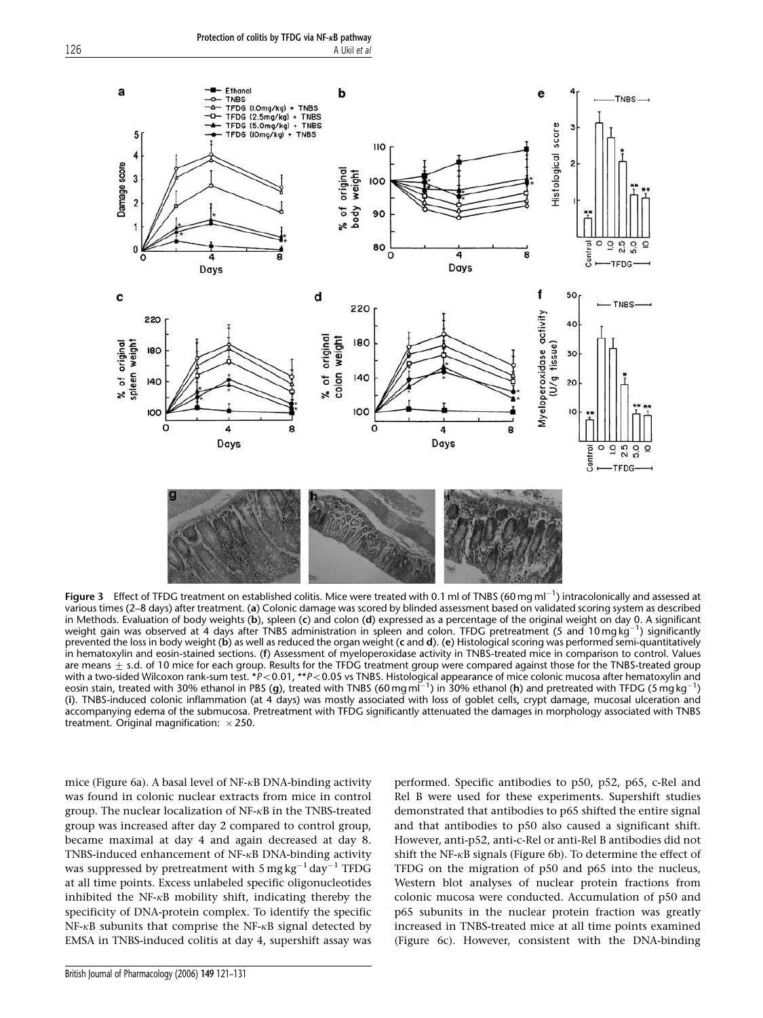

Figure 3 Effect of TFDG treatment on established colitis. Mice were treated with 0.1 ml of TNBS (60 mg ml<sup>-1</sup>) intracolonically and assessed at various times (2–8 days) after treatment. (a) Colonic damage was scored by blinded assessment based on validated scoring system as described in Methods. Evaluation of body weights (b), spleen (c) and colon (d) expressed as a percentage of the original weight on day 0. A significant weight gain was observed at 4 days after TNBS administration in spleen and colon. TFDG pretreatment (5 and 10 mg kg <sup>1</sup>) significantly prevented the loss in body weight (b) as well as reduced the organ weight (c and d). (e) Histological scoring was performed semi-quantitatively in hematoxylin and eosin-stained sections. (f) Assessment of myeloperoxidase activity in TNBS-treated mice in comparison to control. Values are means  $\pm$  s.d. of 10 mice for each group. Results for the TFDG treatment group were compared against those for the TNBS-treated group with a two-sided Wilcoxon rank-sum test. \*P<0.01, \*\*P<0.05 vs TNBS. Histological appearance of mice colonic mucosa after hematoxylin and eosin stain, treated with 30% ethanol in PBS (g), treated with TNBS (60 mg ml<sup>-1</sup>) in 30% ethanol (**h**) and pretreated with TFDG (5 mg kg<sup>-1</sup>) (i). TNBS-induced colonic inflammation (at 4 days) was mostly associated with loss of goblet cells, crypt damage, mucosal ulceration and accompanying edema of the submucosa. Pretreatment with TFDG significantly attenuated the damages in morphology associated with TNBS treatment. Original magnification:  $\times$  250.

mice (Figure 6a). A basal level of  $NF-\kappa B$  DNA-binding activity was found in colonic nuclear extracts from mice in control group. The nuclear localization of NF-kB in the TNBS-treated group was increased after day 2 compared to control group, became maximal at day 4 and again decreased at day 8. TNBS-induced enhancement of NF-kB DNA-binding activity was suppressed by pretreatment with 5 mg kg<sup>-1</sup> day<sup>-1</sup> TFDG at all time points. Excess unlabeled specific oligonucleotides inhibited the NF- $\kappa$ B mobility shift, indicating thereby the specificity of DNA-protein complex. To identify the specific  $NF-\kappa B$  subunits that comprise the NF- $\kappa B$  signal detected by EMSA in TNBS-induced colitis at day 4, supershift assay was

performed. Specific antibodies to p50, p52, p65, c-Rel and Rel B were used for these experiments. Supershift studies demonstrated that antibodies to p65 shifted the entire signal and that antibodies to p50 also caused a significant shift. However, anti-p52, anti-c-Rel or anti-Rel B antibodies did not shift the NF- $\kappa$ B signals (Figure 6b). To determine the effect of TFDG on the migration of p50 and p65 into the nucleus, Western blot analyses of nuclear protein fractions from colonic mucosa were conducted. Accumulation of p50 and p65 subunits in the nuclear protein fraction was greatly increased in TNBS-treated mice at all time points examined (Figure 6c). However, consistent with the DNA-binding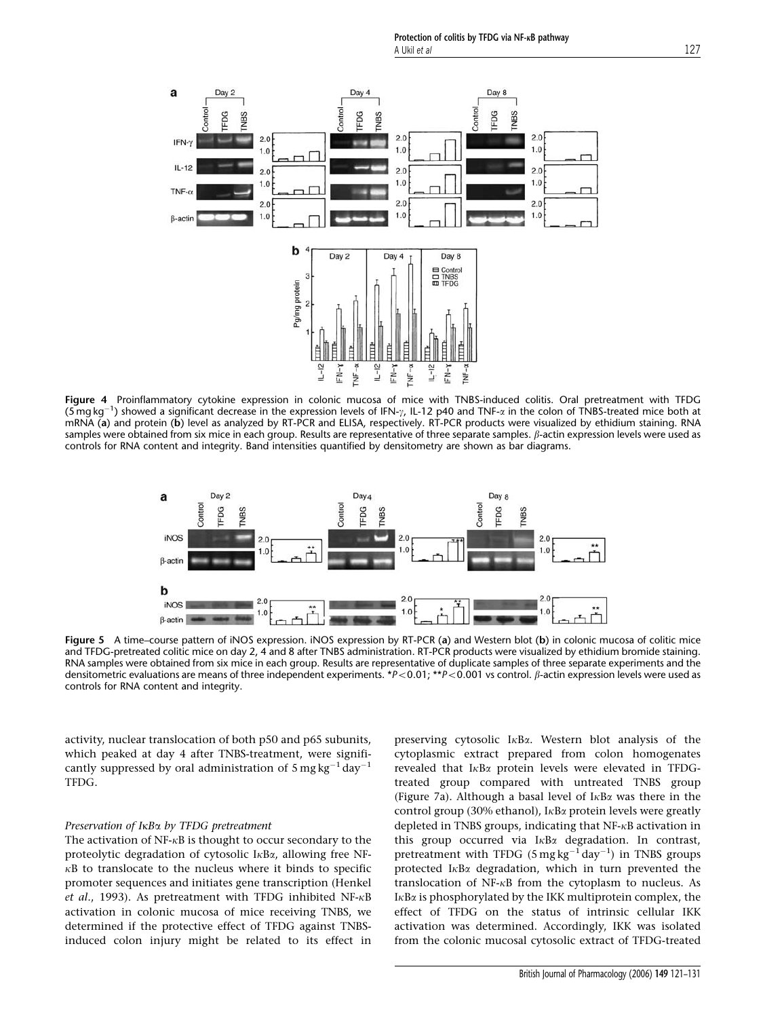Protection of colitis by TFDG via NF- $\kappa$ B pathway A Ukil et al 127



Figure 4 Proinflammatory cytokine expression in colonic mucosa of mice with TNBS-induced colitis. Oral pretreatment with TFDG  $(5 \text{ mg kg}^{-1})$  showed a significant decrease in the expression levels of IFN- $\gamma$ , IL-12 p40 and TNF- $\alpha$  in the colon of TNBS-treated mice both at  $(5 \text{ mg kg}^{-1})$  showed a significant decrease in the expression levels of IF mRNA (a) and protein (b) level as analyzed by RT-PCR and ELISA, respectively. RT-PCR products were visualized by ethidium staining. RNA samples were obtained from six mice in each group. Results are representative of three separate samples.  $\beta$ -actin expression levels were used as controls for RNA content and integrity. Band intensities quantified by densitometry are shown as bar diagrams.



Figure 5 A time–course pattern of iNOS expression. iNOS expression by RT-PCR (a) and Western blot (b) in colonic mucosa of colitic mice and TFDG-pretreated colitic mice on day 2, 4 and 8 after TNBS administration. RT-PCR products were visualized by ethidium bromide staining. RNA samples were obtained from six mice in each group. Results are representative of duplicate samples of three separate experiments and the densitometric evaluations are means of three independent experiments. \*P<0.01; \*\*P<0.001 vs control.  $\beta$ -actin expression levels were used as controls for RNA content and integrity.

activity, nuclear translocation of both p50 and p65 subunits, which peaked at day 4 after TNBS-treatment, were significantly suppressed by oral administration of  $5 \text{ mg kg}^{-1} \text{ day}^{-1}$ TFDG.

#### Preservation of I<sub>KB</sub> by TFDG pretreatment

The activation of  $NF-\kappa B$  is thought to occur secondary to the proteolytic degradation of cytosolic  $I \kappa B \alpha$ , allowing free NF- $\kappa$ B to translocate to the nucleus where it binds to specific promoter sequences and initiates gene transcription (Henkel et al., 1993). As pretreatment with TFDG inhibited NF- $\kappa$ B activation in colonic mucosa of mice receiving TNBS, we determined if the protective effect of TFDG against TNBSinduced colon injury might be related to its effect in

preserving cytosolic IkBa. Western blot analysis of the cytoplasmic extract prepared from colon homogenates revealed that  $I \kappa B \alpha$  protein levels were elevated in TFDGtreated group compared with untreated TNBS group (Figure 7a). Although a basal level of  $I_{\kappa}B_{\alpha}$  was there in the control group (30% ethanol),  $I \kappa B \alpha$  protein levels were greatly depleted in TNBS groups, indicating that NF-kB activation in this group occurred via  $I \kappa B \alpha$  degradation. In contrast, pretreatment with TFDG  $(5 \text{ mg kg}^{-1} \text{ day}^{-1})$  in TNBS groups protected  $I<sub>K</sub>B<sub>\alpha</sub>$  degradation, which in turn prevented the translocation of NF-kB from the cytoplasm to nucleus. As  $I \kappa B\alpha$  is phosphorylated by the IKK multiprotein complex, the effect of TFDG on the status of intrinsic cellular IKK activation was determined. Accordingly, IKK was isolated from the colonic mucosal cytosolic extract of TFDG-treated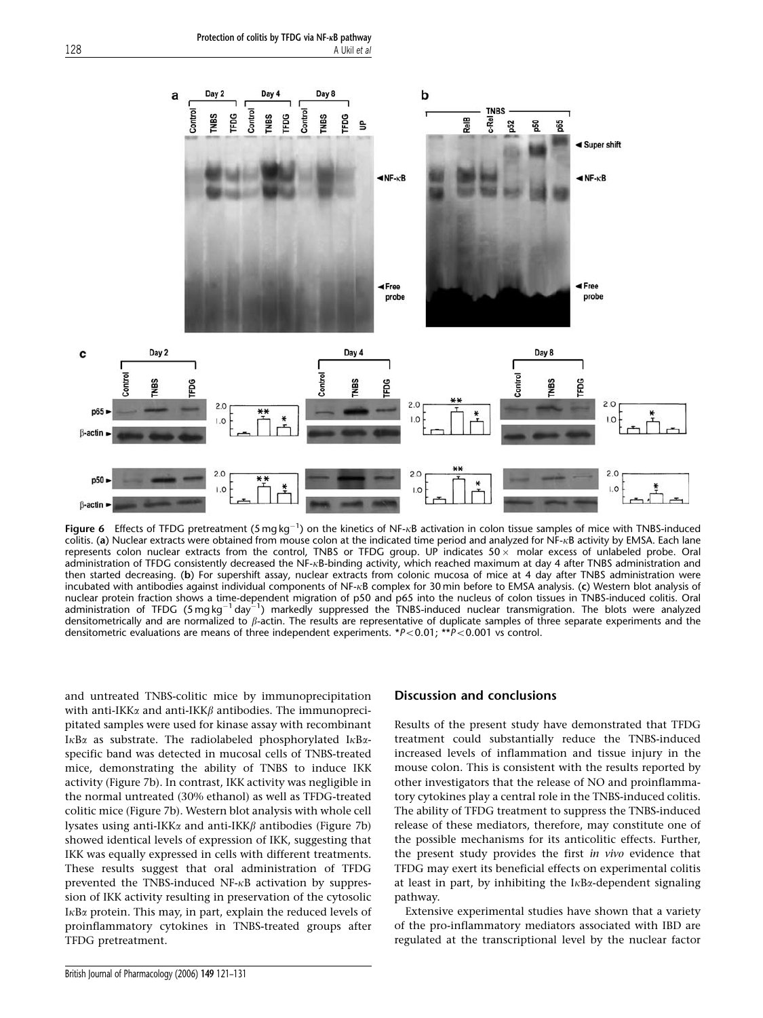Protection of colitis by TFDG via NF-KB pathway 128 A Ukil et al.



**Figure 6** Effects of TFDG pretreatment (5 mg kg<sup>-1</sup>) on the kinetics of NF-<sub>K</sub>B activation in colon tissue samples of mice with TNBS-induced colitis. (a) Nuclear extracts were obtained from mouse colon at the indicated time period and analyzed for NF-<sub>KB</sub> activity by EMSA. Each lane represents colon nuclear extracts from the control, TNBS or TFDG group. UP indicates  $50 \times$  molar excess of unlabeled probe. Oral administration of TFDG consistently decreased the NF-kB-binding activity, which reached maximum at day 4 after TNBS administration and then started decreasing. (b) For supershift assay, nuclear extracts from colonic mucosa of mice at 4 day after TNBS administration were incubated with antibodies against individual components of NF- $\kappa$ B complex for 30 min before to EMSA analysis. (c) Western blot analysis of nuclear protein fraction shows a time-dependent migration of p50 and p65 into the nucleus of colon tissues in TNBS-induced colitis. Oral<br>administration of TFDG (5 mg kg<sup>-1</sup> day<sup>-1</sup>) markedly suppressed the TNBS-induced nuc densitometrically and are normalized to  $\beta$ -actin. The results are representative of duplicate samples of three separate experiments and the densitometric evaluations are means of three independent experiments. \* $P<0.01$ ; \*\* $P<0.001$  vs control.

and untreated TNBS-colitic mice by immunoprecipitation with anti-IKK $\alpha$  and anti-IKK $\beta$  antibodies. The immunoprecipitated samples were used for kinase assay with recombinant I $\kappa$ B $\alpha$  as substrate. The radiolabeled phosphorylated I $\kappa$ B $\alpha$ specific band was detected in mucosal cells of TNBS-treated mice, demonstrating the ability of TNBS to induce IKK activity (Figure 7b). In contrast, IKK activity was negligible in the normal untreated (30% ethanol) as well as TFDG-treated colitic mice (Figure 7b). Western blot analysis with whole cell lysates using anti-IKK $\alpha$  and anti-IKK $\beta$  antibodies (Figure 7b) showed identical levels of expression of IKK, suggesting that IKK was equally expressed in cells with different treatments. These results suggest that oral administration of TFDG prevented the TNBS-induced  $NF-\kappa B$  activation by suppression of IKK activity resulting in preservation of the cytosolic  $I \kappa B\alpha$  protein. This may, in part, explain the reduced levels of proinflammatory cytokines in TNBS-treated groups after TFDG pretreatment.

## Discussion and conclusions

Results of the present study have demonstrated that TFDG treatment could substantially reduce the TNBS-induced increased levels of inflammation and tissue injury in the mouse colon. This is consistent with the results reported by other investigators that the release of NO and proinflammatory cytokines play a central role in the TNBS-induced colitis. The ability of TFDG treatment to suppress the TNBS-induced release of these mediators, therefore, may constitute one of the possible mechanisms for its anticolitic effects. Further, the present study provides the first in vivo evidence that TFDG may exert its beneficial effects on experimental colitis at least in part, by inhibiting the  $I \kappa B \alpha$ -dependent signaling pathway.

Extensive experimental studies have shown that a variety of the pro-inflammatory mediators associated with IBD are regulated at the transcriptional level by the nuclear factor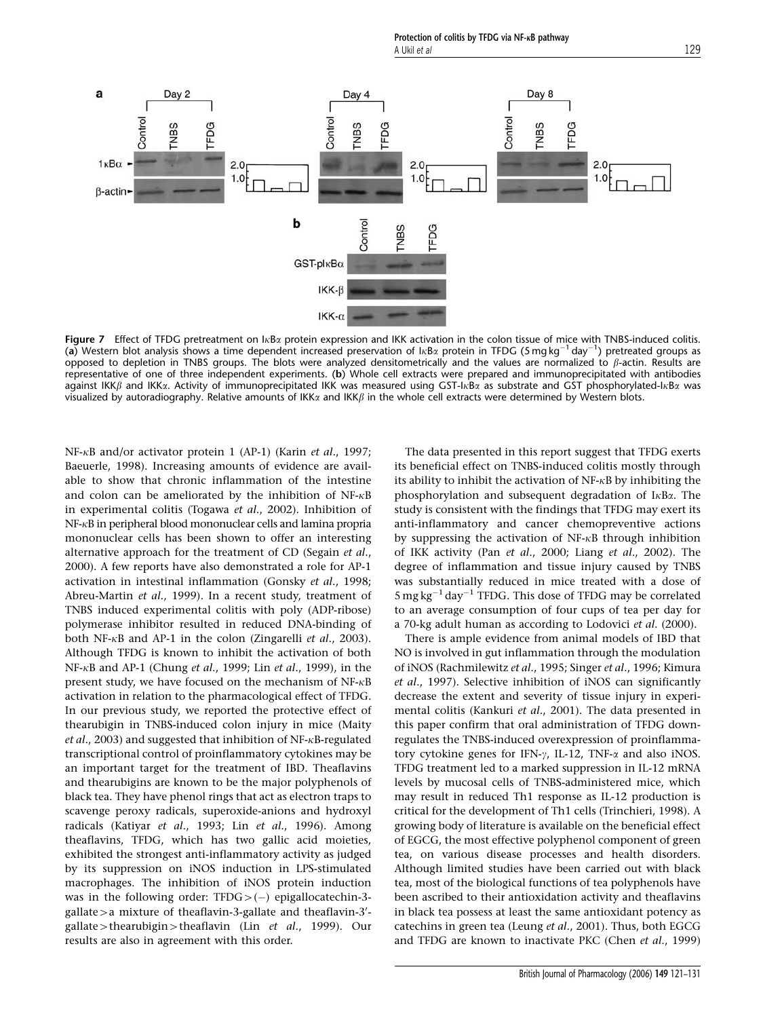

Figure 7 Effect of TFDG pretreatment on  $I\kappa B\alpha$  protein expression and IKK activation in the colon tissue of mice with TNBS-induced colitis. (a) Western blot analysis shows a time dependent increased preservation of  $\frac{1}{k}B\alpha$  protein in TFDG (5 mg kg<sup>-1</sup> day<sup>-1</sup>) pretreated groups as opposed to depletion in TNBS groups. The blots were analyzed densitometrically and the values are normalized to  $\beta$ -actin. Results are representative of one of three independent experiments. (b) Whole cell extracts were prepared and immunoprecipitated with antibodies against IKK $\beta$  and IKK $\alpha$ . Activity of immunoprecipitated IKK was measured using GST-I $\kappa$ B $\alpha$  as substrate and GST phosphorylated-I $\kappa$ B $\alpha$  was visualized by autoradiography. Relative amounts of IKK $\alpha$  and IKK $\beta$  in the whole cell extracts were determined by Western blots.

NF- $\kappa$ B and/or activator protein 1 (AP-1) (Karin et al., 1997; Baeuerle, 1998). Increasing amounts of evidence are available to show that chronic inflammation of the intestine and colon can be ameliorated by the inhibition of  $NF-\kappa B$ in experimental colitis (Togawa et al., 2002). Inhibition of NF-kB in peripheral blood mononuclear cells and lamina propria mononuclear cells has been shown to offer an interesting alternative approach for the treatment of CD (Segain et al., 2000). A few reports have also demonstrated a role for AP-1 activation in intestinal inflammation (Gonsky et al., 1998; Abreu-Martin et al., 1999). In a recent study, treatment of TNBS induced experimental colitis with poly (ADP-ribose) polymerase inhibitor resulted in reduced DNA-binding of both NF-kB and AP-1 in the colon (Zingarelli et al., 2003). Although TFDG is known to inhibit the activation of both NF- $\kappa$ B and AP-1 (Chung et al., 1999; Lin et al., 1999), in the present study, we have focused on the mechanism of  $NF-\kappa B$ activation in relation to the pharmacological effect of TFDG. In our previous study, we reported the protective effect of thearubigin in TNBS-induced colon injury in mice (Maity et al., 2003) and suggested that inhibition of NF- $\kappa$ B-regulated transcriptional control of proinflammatory cytokines may be an important target for the treatment of IBD. Theaflavins and thearubigins are known to be the major polyphenols of black tea. They have phenol rings that act as electron traps to scavenge peroxy radicals, superoxide-anions and hydroxyl radicals (Katiyar et al., 1993; Lin et al., 1996). Among theaflavins, TFDG, which has two gallic acid moieties, exhibited the strongest anti-inflammatory activity as judged by its suppression on iNOS induction in LPS-stimulated macrophages. The inhibition of iNOS protein induction was in the following order:  $TFDG > (-)$  epigallocatechin-3gallate > a mixture of theaflavin-3-gallate and theaflavin-3'gallate > thearubigin > theaflavin (Lin et al., 1999). Our results are also in agreement with this order.

The data presented in this report suggest that TFDG exerts its beneficial effect on TNBS-induced colitis mostly through its ability to inhibit the activation of  $NF-\kappa B$  by inhibiting the phosphorylation and subsequent degradation of  $I<sub>k</sub>B<sub>\alpha</sub>$ . The study is consistent with the findings that TFDG may exert its anti-inflammatory and cancer chemopreventive actions by suppressing the activation of  $NF-<sub>k</sub>B$  through inhibition of IKK activity (Pan et al., 2000; Liang et al., 2002). The degree of inflammation and tissue injury caused by TNBS was substantially reduced in mice treated with a dose of  $5 \text{ mg} \text{ kg}^{-1} \text{ day}^{-1}$  TFDG. This dose of TFDG may be correlated to an average consumption of four cups of tea per day for a 70-kg adult human as according to Lodovici et al. (2000).

There is ample evidence from animal models of IBD that NO is involved in gut inflammation through the modulation of iNOS (Rachmilewitz et al., 1995; Singer et al., 1996; Kimura et al., 1997). Selective inhibition of iNOS can significantly decrease the extent and severity of tissue injury in experimental colitis (Kankuri et al., 2001). The data presented in this paper confirm that oral administration of TFDG downregulates the TNBS-induced overexpression of proinflammatory cytokine genes for IFN- $\gamma$ , IL-12, TNF- $\alpha$  and also iNOS. TFDG treatment led to a marked suppression in IL-12 mRNA levels by mucosal cells of TNBS-administered mice, which may result in reduced Th1 response as IL-12 production is critical for the development of Th1 cells (Trinchieri, 1998). A growing body of literature is available on the beneficial effect of EGCG, the most effective polyphenol component of green tea, on various disease processes and health disorders. Although limited studies have been carried out with black tea, most of the biological functions of tea polyphenols have been ascribed to their antioxidation activity and theaflavins in black tea possess at least the same antioxidant potency as catechins in green tea (Leung et al., 2001). Thus, both EGCG and TFDG are known to inactivate PKC (Chen et al., 1999)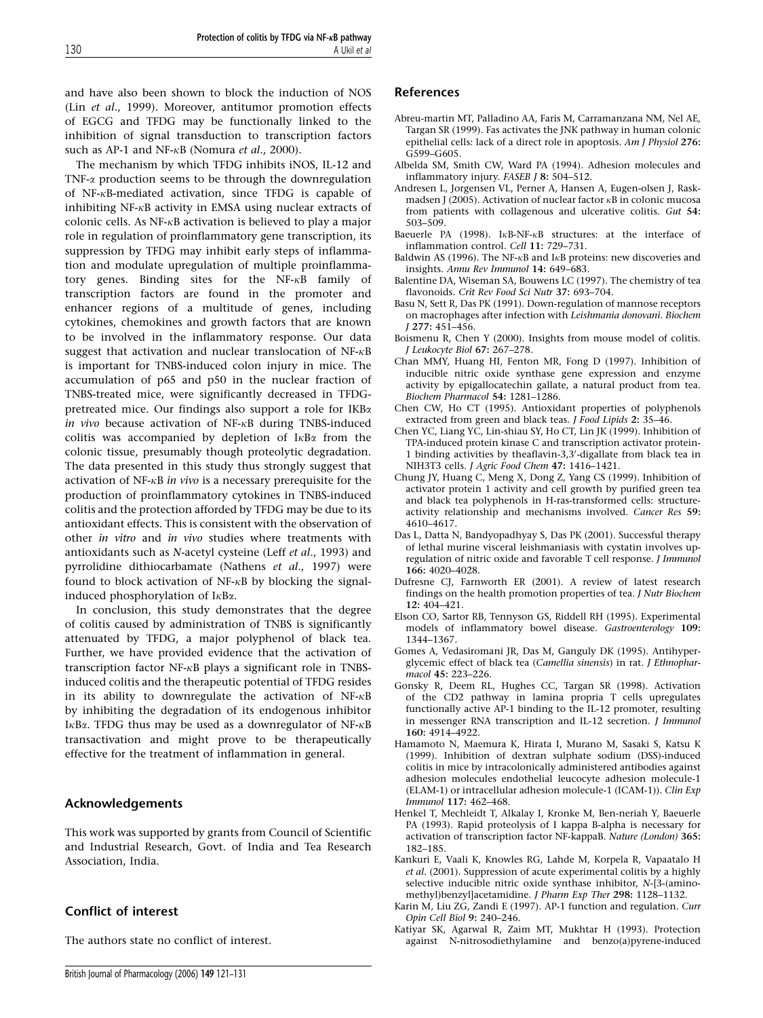and have also been shown to block the induction of NOS (Lin et al., 1999). Moreover, antitumor promotion effects of EGCG and TFDG may be functionally linked to the inhibition of signal transduction to transcription factors such as AP-1 and NF- $\kappa$ B (Nomura et al., 2000).

The mechanism by which TFDG inhibits iNOS, IL-12 and TNF-a production seems to be through the downregulation of NF-kB-mediated activation, since TFDG is capable of inhibiting  $NF-\kappa B$  activity in EMSA using nuclear extracts of colonic cells. As  $NF-\kappa B$  activation is believed to play a major role in regulation of proinflammatory gene transcription, its suppression by TFDG may inhibit early steps of inflammation and modulate upregulation of multiple proinflammatory genes. Binding sites for the NF-kB family of transcription factors are found in the promoter and enhancer regions of a multitude of genes, including cytokines, chemokines and growth factors that are known to be involved in the inflammatory response. Our data suggest that activation and nuclear translocation of NF-kB is important for TNBS-induced colon injury in mice. The accumulation of p65 and p50 in the nuclear fraction of TNBS-treated mice, were significantly decreased in TFDGpretreated mice. Our findings also support a role for IKBa in vivo because activation of NF- $\kappa$ B during TNBS-induced colitis was accompanied by depletion of  $I<sub>K</sub>B<sub>\alpha</sub>$  from the colonic tissue, presumably though proteolytic degradation. The data presented in this study thus strongly suggest that activation of NF- $\kappa$ B in vivo is a necessary prerequisite for the production of proinflammatory cytokines in TNBS-induced colitis and the protection afforded by TFDG may be due to its antioxidant effects. This is consistent with the observation of other in vitro and in vivo studies where treatments with antioxidants such as N-acetyl cysteine (Leff et al., 1993) and pyrrolidine dithiocarbamate (Nathens et al., 1997) were found to block activation of  $NF-\kappa B$  by blocking the signalinduced phosphorylation of  $I\kappa B\alpha$ .

In conclusion, this study demonstrates that the degree of colitis caused by administration of TNBS is significantly attenuated by TFDG, a major polyphenol of black tea. Further, we have provided evidence that the activation of transcription factor NF-kB plays a significant role in TNBSinduced colitis and the therapeutic potential of TFDG resides in its ability to downregulate the activation of  $NF-\kappa B$ by inhibiting the degradation of its endogenous inhibitor I $\kappa$ B $\alpha$ . TFDG thus may be used as a downregulator of NF- $\kappa$ B transactivation and might prove to be therapeutically effective for the treatment of inflammation in general.

# Acknowledgements

This work was supported by grants from Council of Scientific and Industrial Research, Govt. of India and Tea Research Association, India.

# Conflict of interest

The authors state no conflict of interest.

# References

- Abreu-martin MT, Palladino AA, Faris M, Carramanzana NM, Nel AE, Targan SR (1999). Fas activates the JNK pathway in human colonic epithelial cells: lack of a direct role in apoptosis. Am J Physiol 276: G599–G605.
- Albelda SM, Smith CW, Ward PA (1994). Adhesion molecules and inflammatory injury. FASEB J 8: 504–512.
- Andresen L, Jorgensen VL, Perner A, Hansen A, Eugen-olsen J, Raskmadsen J (2005). Activation of nuclear factor  $\kappa$ B in colonic mucosa from patients with collagenous and ulcerative colitis. Gut 54: 503–509.
- Baeuerle PA (1998). I<sub>K</sub>B-NF-<sub>K</sub>B structures: at the interface of inflammation control. Cell 11: 729–731.
- Baldwin AS (1996). The NF- $\kappa$ B and I $\kappa$ B proteins: new discoveries and insights. Annu Rev Immunol 14: 649–683.
- Balentine DA, Wiseman SA, Bouwens LC (1997). The chemistry of tea flavonoids. Crit Rev Food Sci Nutr 37: 693–704.
- Basu N, Sett R, Das PK (1991). Down-regulation of mannose receptors on macrophages after infection with Leishmania donovani. Biochem J 277: 451–456.
- Boismenu R, Chen Y (2000). Insights from mouse model of colitis. J Leukocyte Biol 67: 267–278.
- Chan MMY, Huang HI, Fenton MR, Fong D (1997). Inhibition of inducible nitric oxide synthase gene expression and enzyme activity by epigallocatechin gallate, a natural product from tea. Biochem Pharmacol 54: 1281–1286.
- Chen CW, Ho CT (1995). Antioxidant properties of polyphenols extracted from green and black teas. J Food Lipids 2: 35-46.
- Chen YC, Liang YC, Lin-shiau SY, Ho CT, Lin JK (1999). Inhibition of TPA-induced protein kinase C and transcription activator protein-1 binding activities by theaflavin-3,3'-digallate from black tea in NIH3T3 cells. J Agric Food Chem 47: 1416–1421.
- Chung JY, Huang C, Meng X, Dong Z, Yang CS (1999). Inhibition of activator protein 1 activity and cell growth by purified green tea and black tea polyphenols in H-ras-transformed cells: structureactivity relationship and mechanisms involved. Cancer Res 59: 4610–4617.
- Das L, Datta N, Bandyopadhyay S, Das PK (2001). Successful therapy of lethal murine visceral leishmaniasis with cystatin involves upregulation of nitric oxide and favorable T cell response. *J Immunol* 166: 4020–4028.
- Dufresne CJ, Farnworth ER (2001). A review of latest research findings on the health promotion properties of tea. J Nutr Biochem  $12: 404 - 421$
- Elson CO, Sartor RB, Tennyson GS, Riddell RH (1995). Experimental models of inflammatory bowel disease. Gastroenterology 109: 1344–1367.
- Gomes A, Vedasiromani JR, Das M, Ganguly DK (1995). Antihyperglycemic effect of black tea (Camellia sinensis) in rat. J Ethnopharmacol 45: 223–226.
- Gonsky R, Deem RL, Hughes CC, Targan SR (1998). Activation of the CD2 pathway in lamina propria T cells upregulates functionally active AP-1 binding to the IL-12 promoter, resulting in messenger RNA transcription and IL-12 secretion. *J Immunol* 160: 4914–4922.
- Hamamoto N, Maemura K, Hirata I, Murano M, Sasaki S, Katsu K (1999). Inhibition of dextran sulphate sodium (DSS)-induced colitis in mice by intracolonically administered antibodies against adhesion molecules endothelial leucocyte adhesion molecule-1 (ELAM-1) or intracellular adhesion molecule-1 (ICAM-1)). Clin Exp Immunol 117: 462–468.
- Henkel T, Mechleidt T, Alkalay I, Kronke M, Ben-neriah Y, Baeuerle PA (1993). Rapid proteolysis of I kappa B-alpha is necessary for activation of transcription factor NF-kappaB. Nature (London) 365: 182–185.
- Kankuri E, Vaali K, Knowles RG, Lahde M, Korpela R, Vapaatalo H et al. (2001). Suppression of acute experimental colitis by a highly selective inducible nitric oxide synthase inhibitor, N-[3-(aminomethyl)benzyl]acetamidine. J Pharm Exp Ther 298: 1128–1132.
- Karin M, Liu ZG, Zandi E (1997). AP-1 function and regulation. Curr Opin Cell Biol 9: 240–246.
- Katiyar SK, Agarwal R, Zaim MT, Mukhtar H (1993). Protection against N-nitrosodiethylamine and benzo(a)pyrene-induced